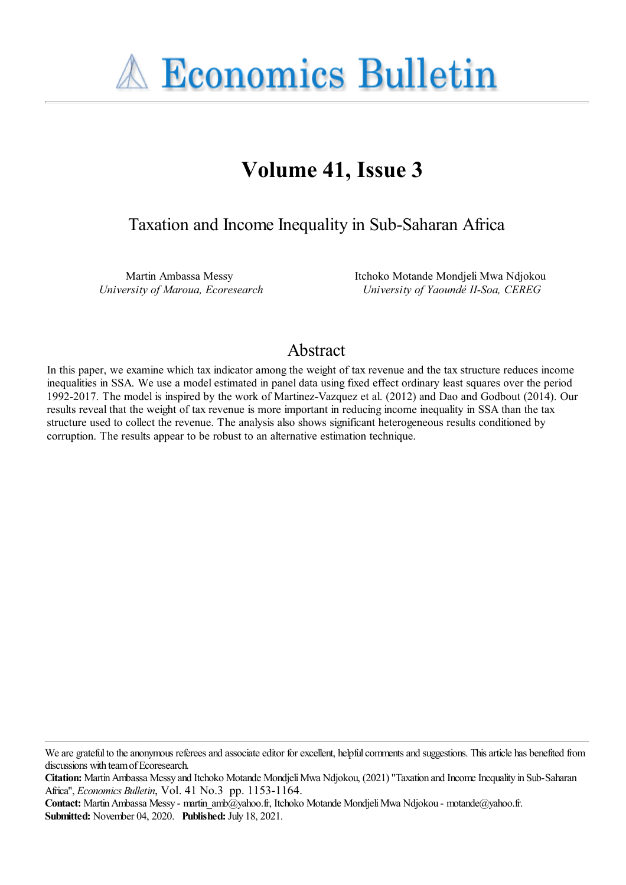**A Economics Bulletin** 

# **Volume 41, Issue 3**

Taxation and Income Inequality in Sub-Saharan Africa

Martin Ambassa Messy *University of Maroua, Ecoresearch* Itchoko Motande Mondjeli Mwa Ndjokou *University of Yaoundé II-Soa, CEREG*

# Abstract

In this paper, we examine which tax indicator among the weight of tax revenue and the tax structure reduces income inequalities in SSA. We use a model estimated in panel data using fixed effect ordinary least squares over the period 1992-2017. The model is inspired by the work of Martinez-Vazquez et al. (2012) and Dao and Godbout (2014). Our results reveal that the weight of tax revenue is more important in reducing income inequality in SSA than the tax structure used to collect the revenue. The analysis also shows significant heterogeneous results conditioned by corruption. The results appear to be robust to an alternative estimation technique.

We are grateful to the anonymous referees and associate editor for excellent, helpful comments and suggestions. This article has benefited from discussions with team of Ecoresearch.

Citation: Martin Ambassa Messy and Itchoko Motande Mondjeli Mwa Ndjokou, (2021) "Taxation and Income Inequality in Sub-Saharan Africa'', *Economics Bulletin*, Vol. 41 No.3 pp. 1153-1164.

Contact: Martin Ambassa Messy - martin\_amb@yahoo.fr, Itchoko Motande Mondjeli Mwa Ndjokou - motande@yahoo.fr. **Submitted:** November 04, 2020. **Published:** July 18, 2021.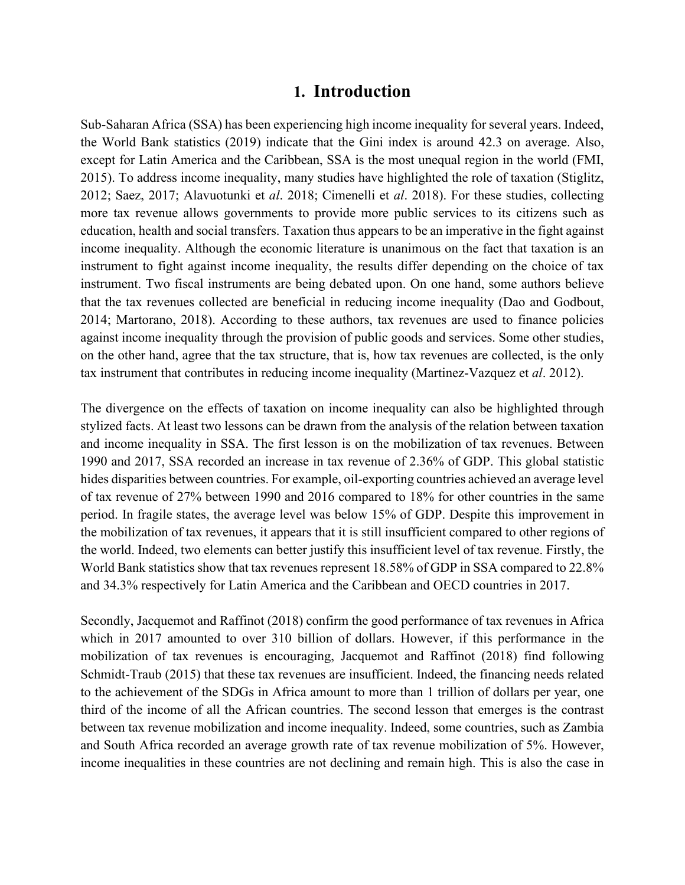## **1. Introduction**

Sub-Saharan Africa (SSA) has been experiencing high income inequality for several years. Indeed, the World Bank statistics (2019) indicate that the Gini index is around 42.3 on average. Also, except for Latin America and the Caribbean, SSA is the most unequal region in the world (FMI, 2015). To address income inequality, many studies have highlighted the role of taxation (Stiglitz, 2012; Saez, 2017; Alavuotunki et *al*. 2018; Cimenelli et *al*. 2018). For these studies, collecting more tax revenue allows governments to provide more public services to its citizens such as education, health and social transfers. Taxation thus appears to be an imperative in the fight against income inequality. Although the economic literature is unanimous on the fact that taxation is an instrument to fight against income inequality, the results differ depending on the choice of tax instrument. Two fiscal instruments are being debated upon. On one hand, some authors believe that the tax revenues collected are beneficial in reducing income inequality (Dao and Godbout, 2014; Martorano, 2018). According to these authors, tax revenues are used to finance policies against income inequality through the provision of public goods and services. Some other studies, on the other hand, agree that the tax structure, that is, how tax revenues are collected, is the only tax instrument that contributes in reducing income inequality (Martinez-Vazquez et *al*. 2012).

The divergence on the effects of taxation on income inequality can also be highlighted through stylized facts. At least two lessons can be drawn from the analysis of the relation between taxation and income inequality in SSA. The first lesson is on the mobilization of tax revenues. Between 1990 and 2017, SSA recorded an increase in tax revenue of 2.36% of GDP. This global statistic hides disparities between countries. For example, oil-exporting countries achieved an average level of tax revenue of 27% between 1990 and 2016 compared to 18% for other countries in the same period. In fragile states, the average level was below 15% of GDP. Despite this improvement in the mobilization of tax revenues, it appears that it is still insufficient compared to other regions of the world. Indeed, two elements can better justify this insufficient level of tax revenue. Firstly, the World Bank statistics show that tax revenues represent 18.58% of GDP in SSA compared to 22.8% and 34.3% respectively for Latin America and the Caribbean and OECD countries in 2017.

Secondly, Jacquemot and Raffinot (2018) confirm the good performance of tax revenues in Africa which in 2017 amounted to over 310 billion of dollars. However, if this performance in the mobilization of tax revenues is encouraging, Jacquemot and Raffinot (2018) find following Schmidt-Traub (2015) that these tax revenues are insufficient. Indeed, the financing needs related to the achievement of the SDGs in Africa amount to more than 1 trillion of dollars per year, one third of the income of all the African countries. The second lesson that emerges is the contrast between tax revenue mobilization and income inequality. Indeed, some countries, such as Zambia and South Africa recorded an average growth rate of tax revenue mobilization of 5%. However, income inequalities in these countries are not declining and remain high. This is also the case in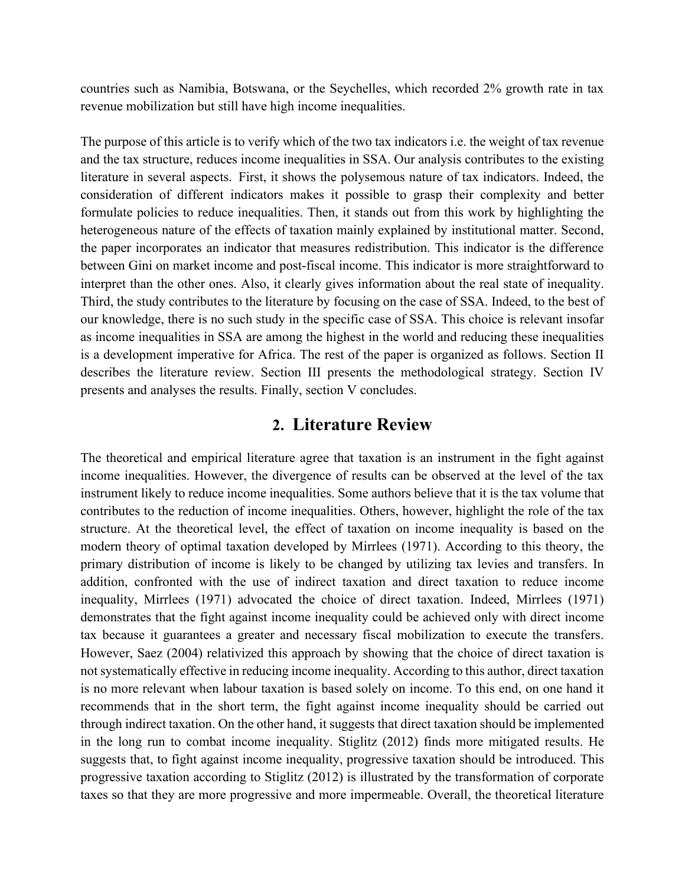countries such as Namibia, Botswana, or the Seychelles, which recorded 2% growth rate in tax revenue mobilization but still have high income inequalities.

The purpose of this article is to verify which of the two tax indicators i.e. the weight of tax revenue and the tax structure, reduces income inequalities in SSA. Our analysis contributes to the existing literature in several aspects. First, it shows the polysemous nature of tax indicators. Indeed, the consideration of different indicators makes it possible to grasp their complexity and better formulate policies to reduce inequalities. Then, it stands out from this work by highlighting the heterogeneous nature of the effects of taxation mainly explained by institutional matter. Second, the paper incorporates an indicator that measures redistribution. This indicator is the difference between Gini on market income and post-fiscal income. This indicator is more straightforward to interpret than the other ones. Also, it clearly gives information about the real state of inequality. Third, the study contributes to the literature by focusing on the case of SSA. Indeed, to the best of our knowledge, there is no such study in the specific case of SSA. This choice is relevant insofar as income inequalities in SSA are among the highest in the world and reducing these inequalities is a development imperative for Africa. The rest of the paper is organized as follows. Section II describes the literature review. Section III presents the methodological strategy. Section IV presents and analyses the results. Finally, section V concludes.

# **2. Literature Review**

The theoretical and empirical literature agree that taxation is an instrument in the fight against income inequalities. However, the divergence of results can be observed at the level of the tax instrument likely to reduce income inequalities. Some authors believe that it is the tax volume that contributes to the reduction of income inequalities. Others, however, highlight the role of the tax structure. At the theoretical level, the effect of taxation on income inequality is based on the modern theory of optimal taxation developed by Mirrlees (1971). According to this theory, the primary distribution of income is likely to be changed by utilizing tax levies and transfers. In addition, confronted with the use of indirect taxation and direct taxation to reduce income inequality, Mirrlees (1971) advocated the choice of direct taxation. Indeed, Mirrlees (1971) demonstrates that the fight against income inequality could be achieved only with direct income tax because it guarantees a greater and necessary fiscal mobilization to execute the transfers. However, Saez (2004) relativized this approach by showing that the choice of direct taxation is not systematically effective in reducing income inequality. According to this author, direct taxation is no more relevant when labour taxation is based solely on income. To this end, on one hand it recommends that in the short term, the fight against income inequality should be carried out through indirect taxation. On the other hand, it suggests that direct taxation should be implemented in the long run to combat income inequality. Stiglitz (2012) finds more mitigated results. He suggests that, to fight against income inequality, progressive taxation should be introduced. This progressive taxation according to Stiglitz (2012) is illustrated by the transformation of corporate taxes so that they are more progressive and more impermeable. Overall, the theoretical literature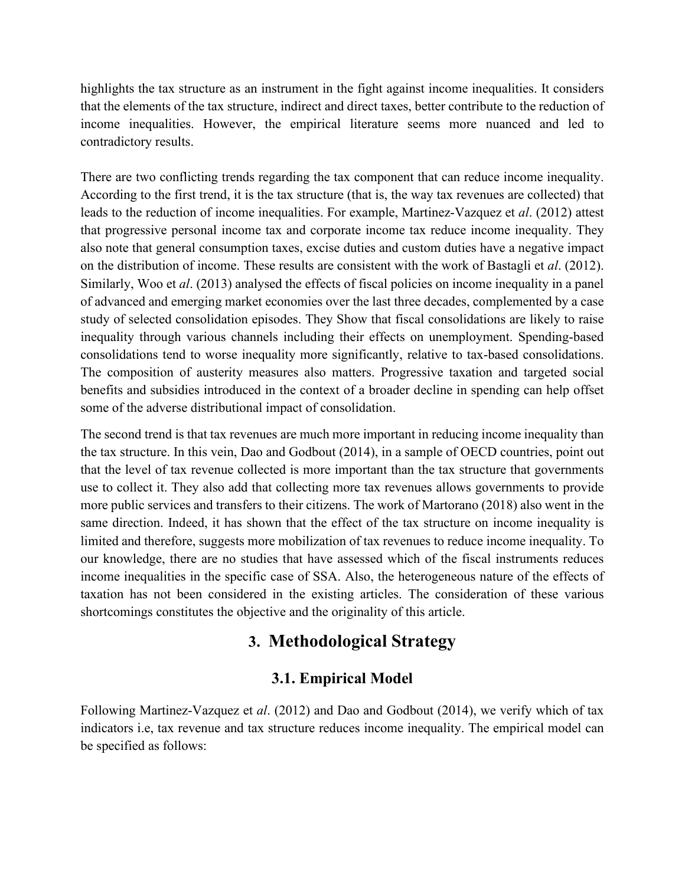highlights the tax structure as an instrument in the fight against income inequalities. It considers that the elements of the tax structure, indirect and direct taxes, better contribute to the reduction of income inequalities. However, the empirical literature seems more nuanced and led to contradictory results.

There are two conflicting trends regarding the tax component that can reduce income inequality. According to the first trend, it is the tax structure (that is, the way tax revenues are collected) that leads to the reduction of income inequalities. For example, Martinez-Vazquez et *al*. (2012) attest that progressive personal income tax and corporate income tax reduce income inequality. They also note that general consumption taxes, excise duties and custom duties have a negative impact on the distribution of income. These results are consistent with the work of Bastagli et *al*. (2012). Similarly, Woo et *al*. (2013) analysed the effects of fiscal policies on income inequality in a panel of advanced and emerging market economies over the last three decades, complemented by a case study of selected consolidation episodes. They Show that fiscal consolidations are likely to raise inequality through various channels including their effects on unemployment. Spending-based consolidations tend to worse inequality more significantly, relative to tax-based consolidations. The composition of austerity measures also matters. Progressive taxation and targeted social benefits and subsidies introduced in the context of a broader decline in spending can help offset some of the adverse distributional impact of consolidation.

The second trend is that tax revenues are much more important in reducing income inequality than the tax structure. In this vein, Dao and Godbout (2014), in a sample of OECD countries, point out that the level of tax revenue collected is more important than the tax structure that governments use to collect it. They also add that collecting more tax revenues allows governments to provide more public services and transfers to their citizens. The work of Martorano (2018) also went in the same direction. Indeed, it has shown that the effect of the tax structure on income inequality is limited and therefore, suggests more mobilization of tax revenues to reduce income inequality. To our knowledge, there are no studies that have assessed which of the fiscal instruments reduces income inequalities in the specific case of SSA. Also, the heterogeneous nature of the effects of taxation has not been considered in the existing articles. The consideration of these various shortcomings constitutes the objective and the originality of this article.

# **3. Methodological Strategy**

# **3.1. Empirical Model**

Following Martinez-Vazquez et *al*. (2012) and Dao and Godbout (2014), we verify which of tax indicators i.e, tax revenue and tax structure reduces income inequality. The empirical model can be specified as follows: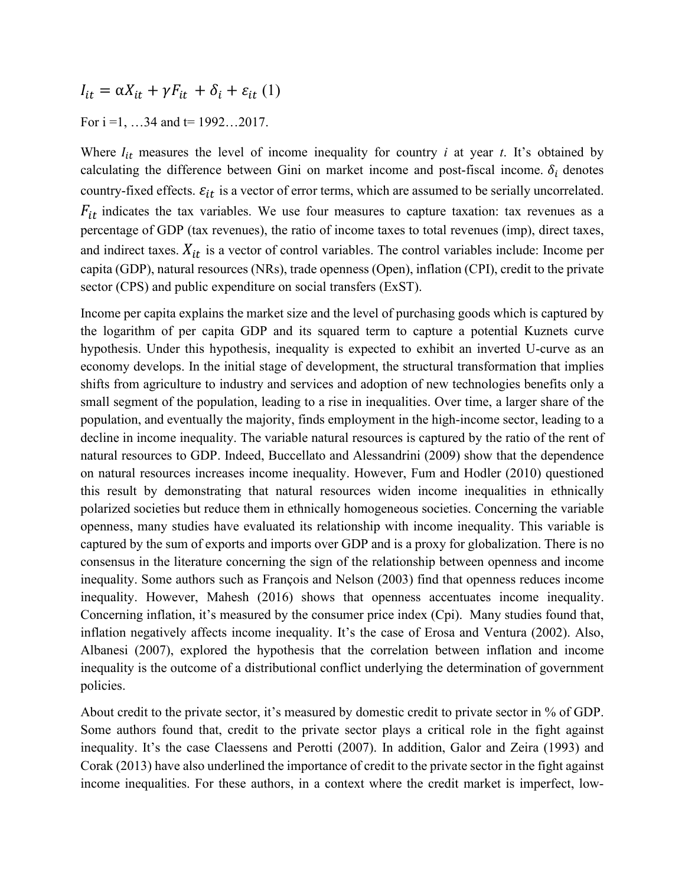$$
I_{it} = \alpha X_{it} + \gamma F_{it} + \delta_i + \varepsilon_{it} (1)
$$
  
For i =1, ...34 and t= 1992...2017.

Where  $I_{it}$  measures the level of income inequality for country *i* at year *t*. It's obtained by calculating the difference between Gini on market income and post-fiscal income.  $\delta_i$  denotes country-fixed effects.  $\varepsilon_{it}$  is a vector of error terms, which are assumed to be serially uncorrelated.  $F_{it}$  indicates the tax variables. We use four measures to capture taxation: tax revenues as a percentage of GDP (tax revenues), the ratio of income taxes to total revenues (imp), direct taxes, and indirect taxes.  $X_{it}$  is a vector of control variables. The control variables include: Income per capita (GDP), natural resources (NRs), trade openness (Open), inflation (CPI), credit to the private sector (CPS) and public expenditure on social transfers (ExST).

Income per capita explains the market size and the level of purchasing goods which is captured by the logarithm of per capita GDP and its squared term to capture a potential Kuznets curve hypothesis. Under this hypothesis, inequality is expected to exhibit an inverted U-curve as an economy develops. In the initial stage of development, the structural transformation that implies shifts from agriculture to industry and services and adoption of new technologies benefits only a small segment of the population, leading to a rise in inequalities. Over time, a larger share of the population, and eventually the majority, finds employment in the high-income sector, leading to a decline in income inequality. The variable natural resources is captured by the ratio of the rent of natural resources to GDP. Indeed, Buccellato and Alessandrini (2009) show that the dependence on natural resources increases income inequality. However, Fum and Hodler (2010) questioned this result by demonstrating that natural resources widen income inequalities in ethnically polarized societies but reduce them in ethnically homogeneous societies. Concerning the variable openness, many studies have evaluated its relationship with income inequality. This variable is captured by the sum of exports and imports over GDP and is a proxy for globalization. There is no consensus in the literature concerning the sign of the relationship between openness and income inequality. Some authors such as François and Nelson (2003) find that openness reduces income inequality. However, Mahesh (2016) shows that openness accentuates income inequality. Concerning inflation, it's measured by the consumer price index (Cpi). Many studies found that, inflation negatively affects income inequality. It's the case of Erosa and Ventura (2002). Also, Albanesi (2007), explored the hypothesis that the correlation between inflation and income inequality is the outcome of a distributional conflict underlying the determination of government policies.

About credit to the private sector, it's measured by domestic credit to private sector in % of GDP. Some authors found that, credit to the private sector plays a critical role in the fight against inequality. It's the case Claessens and Perotti (2007). In addition, Galor and Zeira (1993) and Corak (2013) have also underlined the importance of credit to the private sector in the fight against income inequalities. For these authors, in a context where the credit market is imperfect, low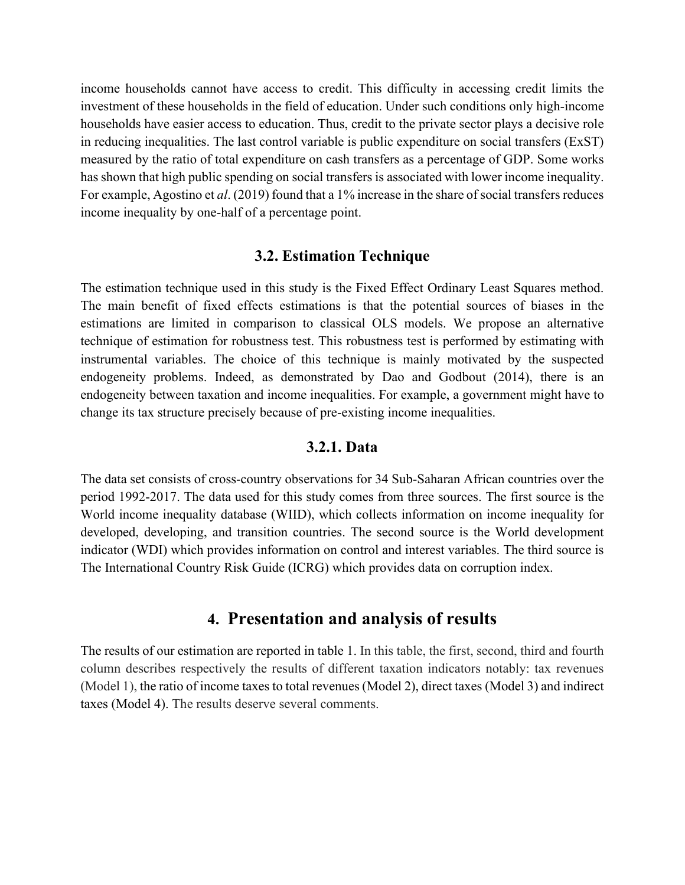income households cannot have access to credit. This difficulty in accessing credit limits the investment of these households in the field of education. Under such conditions only high-income households have easier access to education. Thus, credit to the private sector plays a decisive role in reducing inequalities. The last control variable is public expenditure on social transfers (ExST) measured by the ratio of total expenditure on cash transfers as a percentage of GDP. Some works has shown that high public spending on social transfers is associated with lower income inequality. For example, Agostino et *al*. (2019) found that a 1% increase in the share of social transfers reduces income inequality by one-half of a percentage point.

#### **3.2. Estimation Technique**

The estimation technique used in this study is the Fixed Effect Ordinary Least Squares method. The main benefit of fixed effects estimations is that the potential sources of biases in the estimations are limited in comparison to classical OLS models. We propose an alternative technique of estimation for robustness test. This robustness test is performed by estimating with instrumental variables. The choice of this technique is mainly motivated by the suspected endogeneity problems. Indeed, as demonstrated by Dao and Godbout (2014), there is an endogeneity between taxation and income inequalities. For example, a government might have to change its tax structure precisely because of pre-existing income inequalities.

#### **3.2.1. Data**

The data set consists of cross-country observations for 34 Sub-Saharan African countries over the period 1992-2017. The data used for this study comes from three sources. The first source is the World income inequality database (WIID), which collects information on income inequality for developed, developing, and transition countries. The second source is the World development indicator (WDI) which provides information on control and interest variables. The third source is The International Country Risk Guide (ICRG) which provides data on corruption index.

### **4. Presentation and analysis of results**

The results of our estimation are reported in table 1. In this table, the first, second, third and fourth column describes respectively the results of different taxation indicators notably: tax revenues (Model 1), the ratio of income taxes to total revenues (Model 2), direct taxes (Model 3) and indirect taxes (Model 4). The results deserve several comments.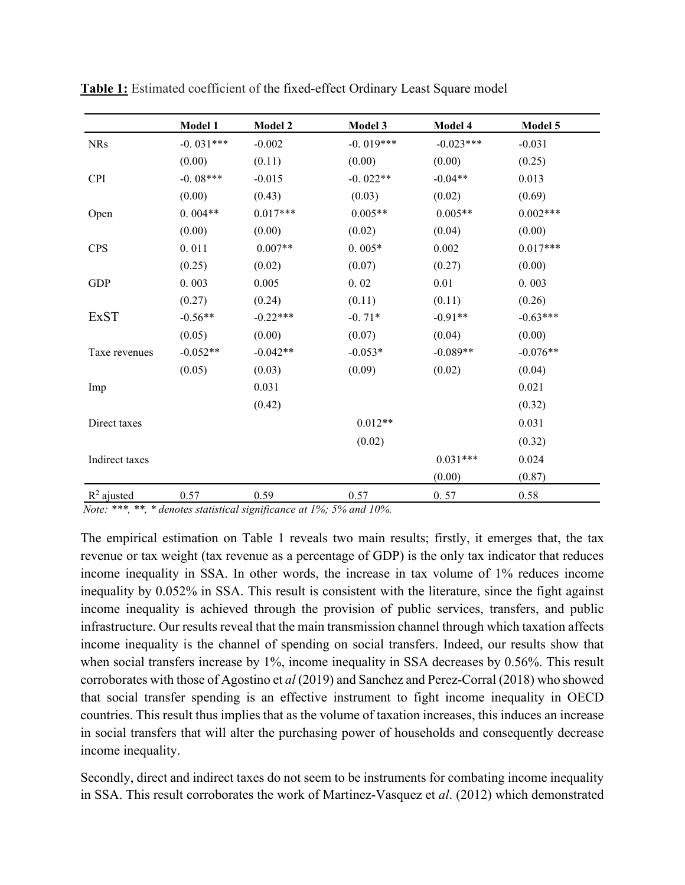|                | Model 1     | Model 2                 | Model 3     | Model 4     | Model 5    |
|----------------|-------------|-------------------------|-------------|-------------|------------|
| <b>NRs</b>     | $-0.031***$ | $-0.002$                | $-0.019***$ | $-0.023***$ |            |
|                | (0.00)      | (0.11)                  | (0.00)      | (0.00)      | (0.25)     |
| <b>CPI</b>     | $-0.08***$  | $-0.015$                | $-0.022**$  | $-0.04**$   | 0.013      |
|                | (0.00)      | (0.43)                  | (0.03)      | (0.02)      | (0.69)     |
| Open           | $0.004**$   | $0.017***$              | $0.005**$   | $0.005**$   |            |
|                | (0.00)      | (0.00)                  | (0.02)      | (0.04)      | (0.00)     |
| <b>CPS</b>     | 0.011       | $0.007**$               | $0.005*$    | 0.002       | $0.017***$ |
|                | (0.25)      | (0.02)                  | (0.07)      | (0.27)      | (0.00)     |
| <b>GDP</b>     | 0.003       | 0.005                   | 0.02        | 0.01        | 0.003      |
|                | (0.27)      | (0.24)                  | (0.11)      | (0.11)      | (0.26)     |
| <b>ExST</b>    | $-0.56**$   | $-0.22***$              | $-0.71*$    | $-0.91**$   | $-0.63***$ |
|                | (0.05)      | (0.00)                  | (0.07)      | (0.04)      | (0.00)     |
| Taxe revenues  | $-0.052**$  | $-0.042**$<br>$-0.053*$ |             | $-0.089**$  | $-0.076**$ |
|                | (0.05)      | (0.03)                  | (0.09)      | (0.02)      | (0.04)     |
| Imp            |             | 0.031                   |             |             | 0.021      |
|                |             | (0.42)                  |             |             | (0.32)     |
| Direct taxes   |             |                         | $0.012**$   |             | 0.031      |
|                |             |                         | (0.02)      |             | (0.32)     |
| Indirect taxes |             |                         |             | $0.031***$  | 0.024      |
|                |             |                         |             | (0.00)      | (0.87)     |
| $R^2$ ajusted  | 0.57        | 0.59                    | 0.57        | 0.57        | 0.58       |

**Table 1:** Estimated coefficient of the fixed-effect Ordinary Least Square model

*Note: \*\*\*, \*\*, \* denotes statistical significance at 1%; 5% and 10%.*

The empirical estimation on Table 1 reveals two main results; firstly, it emerges that, the tax revenue or tax weight (tax revenue as a percentage of GDP) is the only tax indicator that reduces income inequality in SSA. In other words, the increase in tax volume of 1% reduces income inequality by 0.052% in SSA. This result is consistent with the literature, since the fight against income inequality is achieved through the provision of public services, transfers, and public infrastructure. Our results reveal that the main transmission channel through which taxation affects income inequality is the channel of spending on social transfers. Indeed, our results show that when social transfers increase by 1%, income inequality in SSA decreases by 0.56%. This result corroborates with those of Agostino et *al* (2019) and Sanchez and Perez-Corral (2018) who showed that social transfer spending is an effective instrument to fight income inequality in OECD countries. This result thus implies that as the volume of taxation increases, this induces an increase in social transfers that will alter the purchasing power of households and consequently decrease income inequality.

Secondly, direct and indirect taxes do not seem to be instruments for combating income inequality in SSA. This result corroborates the work of Martinez-Vasquez et *al*. (2012) which demonstrated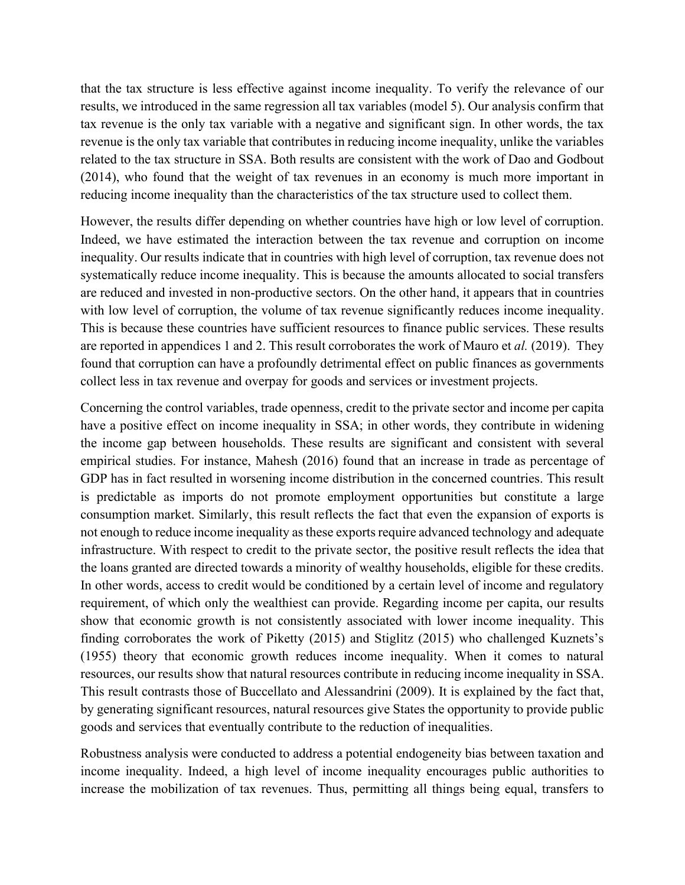that the tax structure is less effective against income inequality. To verify the relevance of our results, we introduced in the same regression all tax variables (model 5). Our analysis confirm that tax revenue is the only tax variable with a negative and significant sign. In other words, the tax revenue is the only tax variable that contributes in reducing income inequality, unlike the variables related to the tax structure in SSA. Both results are consistent with the work of Dao and Godbout (2014), who found that the weight of tax revenues in an economy is much more important in reducing income inequality than the characteristics of the tax structure used to collect them.

However, the results differ depending on whether countries have high or low level of corruption. Indeed, we have estimated the interaction between the tax revenue and corruption on income inequality. Our results indicate that in countries with high level of corruption, tax revenue does not systematically reduce income inequality. This is because the amounts allocated to social transfers are reduced and invested in non-productive sectors. On the other hand, it appears that in countries with low level of corruption, the volume of tax revenue significantly reduces income inequality. This is because these countries have sufficient resources to finance public services. These results are reported in appendices 1 and 2. This result corroborates the work of Mauro et *al.* (2019). They found that corruption can have a profoundly detrimental effect on public finances as governments collect less in tax revenue and overpay for goods and services or investment projects.

Concerning the control variables, trade openness, credit to the private sector and income per capita have a positive effect on income inequality in SSA; in other words, they contribute in widening the income gap between households. These results are significant and consistent with several empirical studies. For instance, Mahesh (2016) found that an increase in trade as percentage of GDP has in fact resulted in worsening income distribution in the concerned countries. This result is predictable as imports do not promote employment opportunities but constitute a large consumption market. Similarly, this result reflects the fact that even the expansion of exports is not enough to reduce income inequality as these exports require advanced technology and adequate infrastructure. With respect to credit to the private sector, the positive result reflects the idea that the loans granted are directed towards a minority of wealthy households, eligible for these credits. In other words, access to credit would be conditioned by a certain level of income and regulatory requirement, of which only the wealthiest can provide. Regarding income per capita, our results show that economic growth is not consistently associated with lower income inequality. This finding corroborates the work of Piketty (2015) and Stiglitz (2015) who challenged Kuznets's (1955) theory that economic growth reduces income inequality. When it comes to natural resources, our results show that natural resources contribute in reducing income inequality in SSA. This result contrasts those of Buccellato and Alessandrini (2009). It is explained by the fact that, by generating significant resources, natural resources give States the opportunity to provide public goods and services that eventually contribute to the reduction of inequalities.

Robustness analysis were conducted to address a potential endogeneity bias between taxation and income inequality. Indeed, a high level of income inequality encourages public authorities to increase the mobilization of tax revenues. Thus, permitting all things being equal, transfers to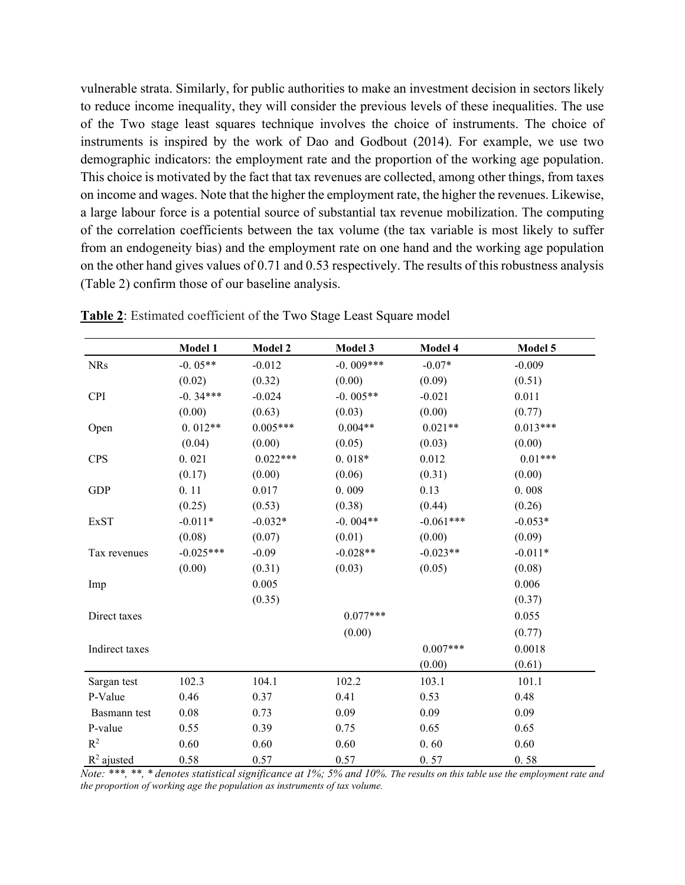vulnerable strata. Similarly, for public authorities to make an investment decision in sectors likely to reduce income inequality, they will consider the previous levels of these inequalities. The use of the Two stage least squares technique involves the choice of instruments. The choice of instruments is inspired by the work of Dao and Godbout (2014). For example, we use two demographic indicators: the employment rate and the proportion of the working age population. This choice is motivated by the fact that tax revenues are collected, among other things, from taxes on income and wages. Note that the higher the employment rate, the higher the revenues. Likewise, a large labour force is a potential source of substantial tax revenue mobilization. The computing of the correlation coefficients between the tax volume (the tax variable is most likely to suffer from an endogeneity bias) and the employment rate on one hand and the working age population on the other hand gives values of 0.71 and 0.53 respectively. The results of this robustness analysis (Table 2) confirm those of our baseline analysis.

|                | Model 1     | Model 2    | Model 3      | Model 4      | Model 5    |  |
|----------------|-------------|------------|--------------|--------------|------------|--|
| <b>NRs</b>     | $-0.05**$   | $-0.012$   | $-0.009***$  | $-0.07*$     | $-0.009$   |  |
|                | (0.02)      | (0.32)     | (0.00)       | (0.09)       | (0.51)     |  |
| <b>CPI</b>     | $-0.34***$  | $-0.024$   | $-0.005**$   | $-0.021$     | 0.011      |  |
|                | (0.00)      | (0.63)     | (0.03)       | (0.00)       | (0.77)     |  |
| Open           | $0.012**$   | $0.005***$ | $0.004**$    | $0.021**$    | $0.013***$ |  |
|                | (0.04)      | (0.00)     | (0.05)       | (0.03)       | (0.00)     |  |
| <b>CPS</b>     | 0.021       | $0.022***$ | $0.018*$     | 0.012        | $0.01***$  |  |
|                | (0.17)      | (0.00)     | (0.06)       | (0.31)       | (0.00)     |  |
| <b>GDP</b>     | 0.11        | 0.017      | 0.009        | 0.13         | 0.008      |  |
|                | (0.25)      | (0.53)     | (0.38)       | (0.44)       | (0.26)     |  |
| ExST           | $-0.011*$   | $-0.032*$  | $-0.004**$   | $-0.061***$  | $-0.053*$  |  |
|                | (0.08)      | (0.07)     | (0.01)       | (0.00)       | (0.09)     |  |
| Tax revenues   | $-0.025***$ | $-0.09$    | $-0.028**$   | $-0.023**$   | $-0.011*$  |  |
|                | (0.00)      | (0.31)     | (0.03)       | (0.05)       | (0.08)     |  |
| Imp            |             | 0.005      |              |              | 0.006      |  |
|                |             | (0.35)     |              |              | (0.37)     |  |
| Direct taxes   |             |            | $0.077***$   |              | 0.055      |  |
|                |             |            | (0.00)       |              | (0.77)     |  |
| Indirect taxes |             |            |              | $0.007***$   | 0.0018     |  |
|                |             |            |              | (0.00)       | (0.61)     |  |
| Sargan test    | 102.3       | 104.1      | 102.2        | 103.1        | 101.1      |  |
| P-Value        | 0.46        | 0.37       | 0.41         | 0.53         | 0.48       |  |
| Basmann test   | $0.08\,$    | 0.73       | 0.09         | 0.09<br>0.09 |            |  |
| P-value        | 0.55        | 0.39       | 0.65<br>0.75 |              | 0.65       |  |
| $R^2$          | 0.60        | 0.60       | 0.60         | 0.60         | 0.60       |  |
| $R^2$ ajusted  | 0.58        | 0.57       | 0.57         | 0.57         | 0.58       |  |

**Table 2**: Estimated coefficient of the Two Stage Least Square model

*Note: \*\*\*, \*\*, \* denotes statistical significance at 1%; 5% and 10%. The results on this table use the employment rate and the proportion of working age the population as instruments of tax volume.*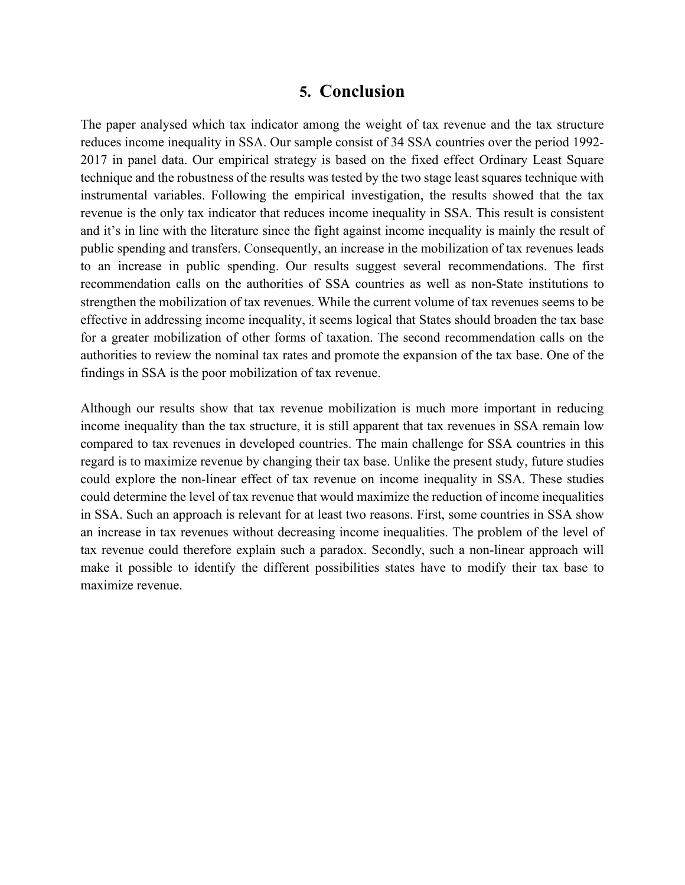# **5. Conclusion**

The paper analysed which tax indicator among the weight of tax revenue and the tax structure reduces income inequality in SSA. Our sample consist of 34 SSA countries over the period 1992- 2017 in panel data. Our empirical strategy is based on the fixed effect Ordinary Least Square technique and the robustness of the results was tested by the two stage least squares technique with instrumental variables. Following the empirical investigation, the results showed that the tax revenue is the only tax indicator that reduces income inequality in SSA. This result is consistent and it's in line with the literature since the fight against income inequality is mainly the result of public spending and transfers. Consequently, an increase in the mobilization of tax revenues leads to an increase in public spending. Our results suggest several recommendations. The first recommendation calls on the authorities of SSA countries as well as non-State institutions to strengthen the mobilization of tax revenues. While the current volume of tax revenues seems to be effective in addressing income inequality, it seems logical that States should broaden the tax base for a greater mobilization of other forms of taxation. The second recommendation calls on the authorities to review the nominal tax rates and promote the expansion of the tax base. One of the findings in SSA is the poor mobilization of tax revenue.

Although our results show that tax revenue mobilization is much more important in reducing income inequality than the tax structure, it is still apparent that tax revenues in SSA remain low compared to tax revenues in developed countries. The main challenge for SSA countries in this regard is to maximize revenue by changing their tax base. Unlike the present study, future studies could explore the non-linear effect of tax revenue on income inequality in SSA. These studies could determine the level of tax revenue that would maximize the reduction of income inequalities in SSA. Such an approach is relevant for at least two reasons. First, some countries in SSA show an increase in tax revenues without decreasing income inequalities. The problem of the level of tax revenue could therefore explain such a paradox. Secondly, such a non-linear approach will make it possible to identify the different possibilities states have to modify their tax base to maximize revenue.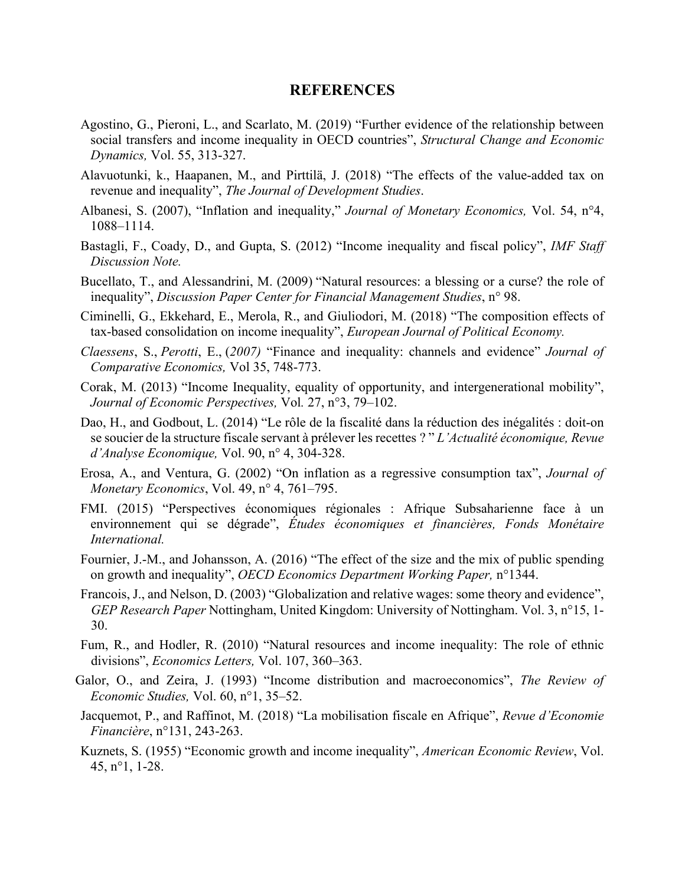#### **REFERENCES**

- Agostino, G., Pieroni, L., and Scarlato, M. (2019) "Further evidence of the relationship between social transfers and income inequality in OECD countries", *Structural Change and Economic Dynamics,* Vol. 55, 313-327.
- Alavuotunki, k., Haapanen, M., and Pirttilä, J. (2018) "The effects of the value-added tax on revenue and inequality", *The Journal of Development Studies*.
- Albanesi, S. (2007), "Inflation and inequality," *Journal of Monetary Economics,* Vol. 54, n°4, 1088–1114.
- Bastagli, F., Coady, D., and Gupta, S. (2012) "Income inequality and fiscal policy", *IMF Staff Discussion Note.*
- Bucellato, T., and Alessandrini, M. (2009) "Natural resources: a blessing or a curse? the role of inequality", *Discussion Paper Center for Financial Management Studies*, n° 98.
- Ciminelli, G., Ekkehard, E., Merola, R., and Giuliodori, M. (2018) "The composition effects of tax-based consolidation on income inequality", *European Journal of Political Economy.*
- *Claessens*, S., *Perotti*, E., (*2007)* "Finance and inequality: channels and evidence" *Journal of Comparative Economics,* Vol 35, 748-773.
- Corak, M. (2013) "Income Inequality, equality of opportunity, and intergenerational mobility", *Journal of Economic Perspectives,* Vol*.* 27, n°3, 79–102.
- Dao, H., and Godbout, L. (2014) "Le rôle de la fiscalité dans la réduction des inégalités : doit-on se soucier de la structure fiscale servant à prélever les recettes ? " *L'Actualité économique, Revue d'Analyse Economique,* Vol. 90, n° 4, 304-328.
- Erosa, A., and Ventura, G. (2002) "On inflation as a regressive consumption tax", *Journal of Monetary Economics*, Vol. 49, n° 4, 761–795.
- FMI. (2015) "Perspectives économiques régionales : Afrique Subsaharienne face à un environnement qui se dégrade", *Études économiques et financières, Fonds Monétaire International.*
- Fournier, J.-M., and Johansson, A. (2016) "The effect of the size and the mix of public spending on growth and inequality", *OECD Economics Department Working Paper,* n°1344.
- Francois, J., and Nelson, D. (2003) "Globalization and relative wages: some theory and evidence", *GEP Research Paper* Nottingham, United Kingdom: University of Nottingham. Vol. 3, n°15, 1- 30.
- Fum, R., and Hodler, R. (2010) "Natural resources and income inequality: The role of ethnic divisions", *Economics Letters,* Vol. 107, 360–363.
- Galor, O., and Zeira, J. (1993) "Income distribution and macroeconomics", *The Review of Economic Studies,* Vol. 60, n°1, 35–52.
- Jacquemot, P., and Raffinot, M. (2018) "La mobilisation fiscale en Afrique", *Revue d'Economie Financière*, n°131, 243-263.
- Kuznets, S. (1955) "Economic growth and income inequality", *American Economic Review*, Vol. 45, n°1, 1-28.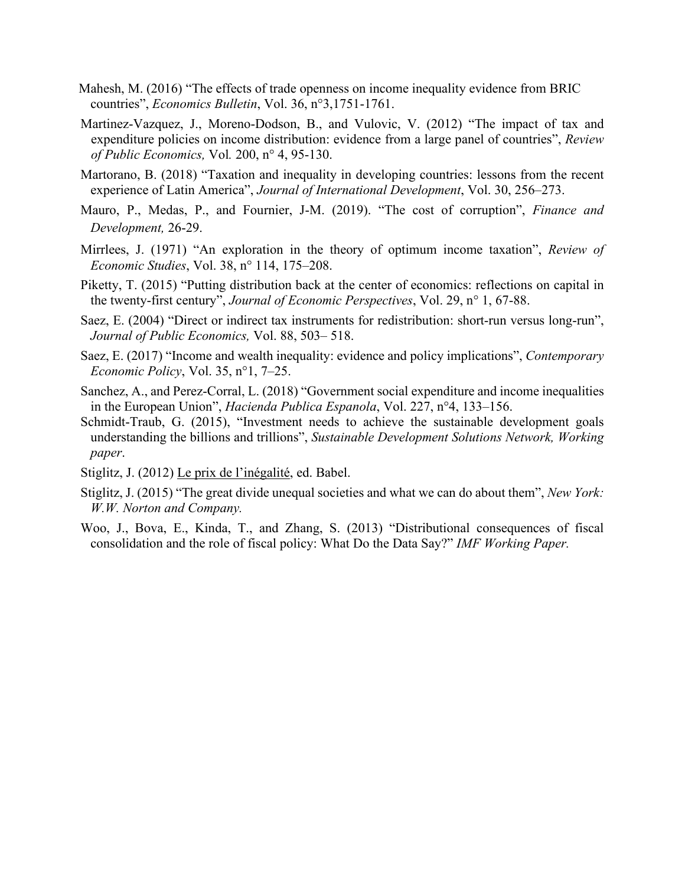- Mahesh, M. (2016) "The effects of trade openness on income inequality evidence from BRIC countries", *Economics Bulletin*, Vol. 36, n°3,1751-1761.
- Martinez-Vazquez, J., Moreno-Dodson, B., and Vulovic, V. (2012) "The impact of tax and expenditure policies on income distribution: evidence from a large panel of countries", *Review of Public Economics,* Vol*.* 200, n° 4, 95-130.
- Martorano, B. (2018) "Taxation and inequality in developing countries: lessons from the recent experience of Latin America", *Journal of International Development*, Vol. 30, 256–273.
- Mauro, P., Medas, P., and Fournier, J-M. (2019). "The cost of corruption", *Finance and Development,* 26-29.
- Mirrlees, J. (1971) "An exploration in the theory of optimum income taxation", *Review of Economic Studies*, Vol. 38, n° 114, 175–208.
- Piketty, T. (2015) "Putting distribution back at the center of economics: reflections on capital in the twenty-first century", *Journal of Economic Perspectives*, Vol. 29, n° 1, 67-88.
- Saez, E. (2004) "Direct or indirect tax instruments for redistribution: short-run versus long-run", *Journal of Public Economics,* Vol. 88, 503– 518.
- Saez, E. (2017) "Income and wealth inequality: evidence and policy implications", *Contemporary Economic Policy*, Vol. 35, n°1, 7–25.
- Sanchez, A., and Perez-Corral, L. (2018) "Government social expenditure and income inequalities in the European Union", *Hacienda Publica Espanola*, Vol. 227, n°4, 133–156.
- Schmidt-Traub, G. (2015), "Investment needs to achieve the sustainable development goals understanding the billions and trillions", *Sustainable Development Solutions Network, Working paper*.
- Stiglitz, J. (2012) Le prix de l'inégalité, ed. Babel.
- Stiglitz, J. (2015) "The great divide unequal societies and what we can do about them", *New York: W.W. Norton and Company.*
- Woo, J., Bova, E., Kinda, T., and Zhang, S. (2013) "Distributional consequences of fiscal consolidation and the role of fiscal policy: What Do the Data Say?" *IMF Working Paper.*